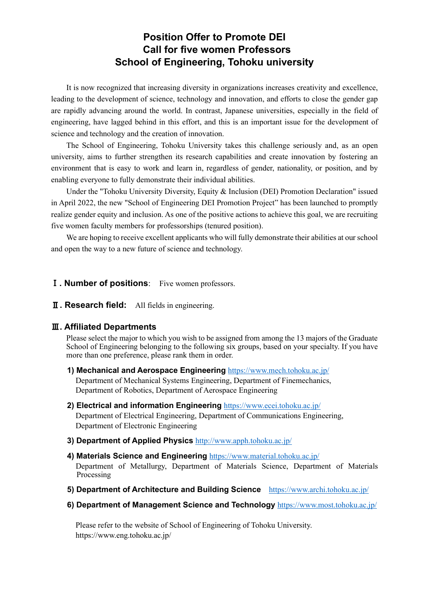# **Position Offer to Promote DEI Call for five women Professors School of Engineering, Tohoku university**

It is now recognized that increasing diversity in organizations increases creativity and excellence, leading to the development of science, technology and innovation, and efforts to close the gender gap are rapidly advancing around the world. In contrast, Japanese universities, especially in the field of engineering, have lagged behind in this effort, and this is an important issue for the development of science and technology and the creation of innovation.

The School of Engineering, Tohoku University takes this challenge seriously and, as an open university, aims to further strengthen its research capabilities and create innovation by fostering an environment that is easy to work and learn in, regardless of gender, nationality, or position, and by enabling everyone to fully demonstrate their individual abilities.

Under the "Tohoku University Diversity, Equity & Inclusion (DEI) Promotion Declaration" issued in April 2022, the new "School of Engineering DEI Promotion Project" has been launched to promptly realize gender equity and inclusion. As one of the positive actions to achieve this goal, we are recruiting five women faculty members for professorships (tenured position).

We are hoping to receive excellent applicants who will fully demonstrate their abilities at our school and open the way to a new future of science and technology.

#### Ⅰ**. Number of positions**: Five women professors.

Ⅱ**. Research field:** All fields in engineering.

### Ⅲ**. Affiliated Departments**

Please select the major to which you wish to be assigned from among the 13 majors of the Graduate School of Engineering belonging to the following six groups, based on your specialty. If you have more than one preference, please rank them in order.

- **1) Mechanical and Aerospace Engineering** <https://www.mech.tohoku.ac.jp/> Department of Mechanical Systems Engineering, Department of Finemechanics, Department of Robotics, Department of Aerospace Engineering
- **2) Electrical and information Engineering** <https://www.ecei.tohoku.ac.jp/> Department of Electrical Engineering, Department of Communications Engineering, Department of Electronic Engineering
- **3) Department of Applied Physics** <http://www.apph.tohoku.ac.jp/>
- **4) Materials Science and Engineering** <https://www.material.tohoku.ac.jp/> Department of Metallurgy, Department of Materials Science, Department of Materials Processing
- **5) Department of Architecture and Building Science** <https://www.archi.tohoku.ac.jp/>
- **6) Department of Management Science and Technology** <https://www.most.tohoku.ac.jp/>

Please refer to the website of School of Engineering of Tohoku University. https://www.eng.tohoku.ac.jp/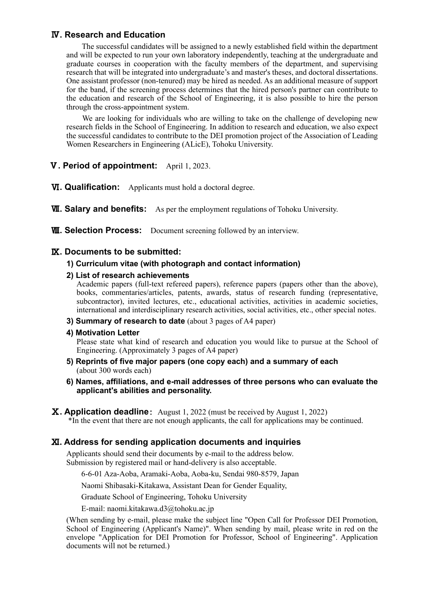## Ⅳ**. Research and Education**

The successful candidates will be assigned to a newly established field within the department and will be expected to run your own laboratory independently, teaching at the undergraduate and graduate courses in cooperation with the faculty members of the department, and supervising research that will be integrated into undergraduate's and master's theses, and doctoral dissertations. One assistant professor (non-tenured) may be hired as needed. As an additional measure of support for the band, if the screening process determines that the hired person's partner can contribute to the education and research of the School of Engineering, it is also possible to hire the person through the cross-appointment system.

We are looking for individuals who are willing to take on the challenge of developing new research fields in the School of Engineering. In addition to research and education, we also expect the successful candidates to contribute to the DEI promotion project of the Association of Leading Women Researchers in Engineering (ALicE), Tohoku University.

- Ⅴ**. Period of appointment:** April 1, 2023.
- Ⅵ**. Qualification:** Applicants must hold a doctoral degree.
- **WI. Salary and benefits:** As per the employment regulations of Tohoku University.
- **WI. Selection Process:** Document screening followed by an interview.

### Ⅸ**. Documents to be submitted:**

#### **1) Curriculum vitae (with photograph and contact information)**

**2) List of research achievements**

Academic papers (full-text refereed papers), reference papers (papers other than the above), books, commentaries/articles, patents, awards, status of research funding (representative, subcontractor), invited lectures, etc., educational activities, activities in academic societies, international and interdisciplinary research activities, social activities, etc., other special notes.

- **3) Summary of research to date** (about 3 pages of A4 paper)
- **4) Motivation Letter**

Please state what kind of research and education you would like to pursue at the School of Engineering. (Approximately 3 pages of A4 paper)

- **5) Reprints of five major papers (one copy each) and a summary of each**  (about 300 words each)
- **6) Names, affiliations, and e-mail addresses of three persons who can evaluate the applicant's abilities and personality.**
- Ⅹ**. Application deadline**: August 1, 2022 (must be received by August 1, 2022) \*In the event that there are not enough applicants, the call for applications may be continued.

#### Ⅺ**. Address for sending application documents and inquiries**

Applicants should send their documents by e-mail to the address below. Submission by registered mail or hand-delivery is also acceptable.

6-6-01 Aza-Aoba, Aramaki-Aoba, Aoba-ku, Sendai 980-8579, Japan

Naomi Shibasaki-Kitakawa, Assistant Dean for Gender Equality,

Graduate School of Engineering, Tohoku University

E-mail: naomi.kitakawa.d3@tohoku.ac.jp

(When sending by e-mail, please make the subject line "Open Call for Professor DEI Promotion, School of Engineering (Applicant's Name)". When sending by mail, please write in red on the envelope "Application for DEI Promotion for Professor, School of Engineering". Application documents will not be returned.)